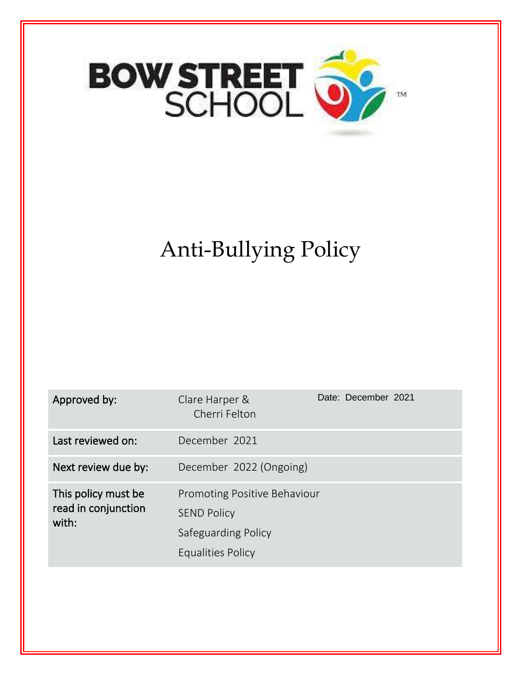

# Anti-Bullying Policy

| Approved by:                                        | Clare Harper &<br>Cherri Felton                                                                       | Date: December 2021 |
|-----------------------------------------------------|-------------------------------------------------------------------------------------------------------|---------------------|
| Last reviewed on:                                   | December 2021                                                                                         |                     |
| Next review due by:                                 | December 2022 (Ongoing)                                                                               |                     |
| This policy must be<br>read in conjunction<br>with: | <b>Promoting Positive Behaviour</b><br><b>SEND Policy</b><br>Safeguarding Policy<br>Equalities Policy |                     |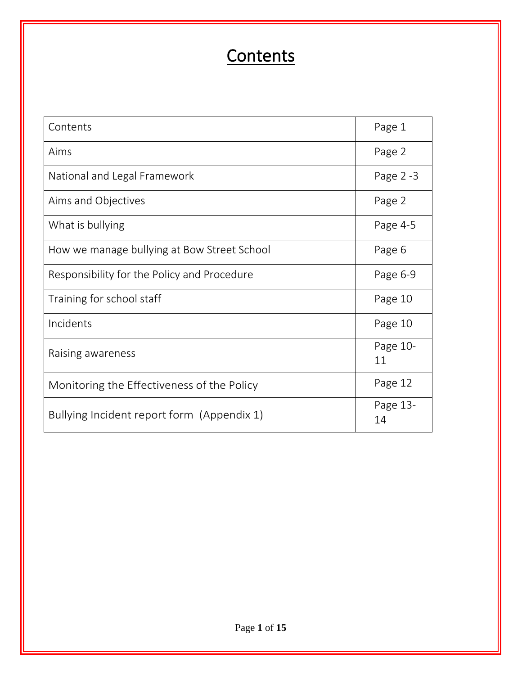### **Contents**

| Contents                                    | Page 1         |
|---------------------------------------------|----------------|
| Aims                                        | Page 2         |
| National and Legal Framework                | Page 2 -3      |
| Aims and Objectives                         | Page 2         |
| What is bullying                            | Page 4-5       |
| How we manage bullying at Bow Street School | Page 6         |
| Responsibility for the Policy and Procedure | Page 6-9       |
| Training for school staff                   | Page 10        |
| Incidents                                   | Page 10        |
| Raising awareness                           | Page 10-<br>11 |
| Monitoring the Effectiveness of the Policy  | Page 12        |
| Bullying Incident report form (Appendix 1)  | Page 13-<br>14 |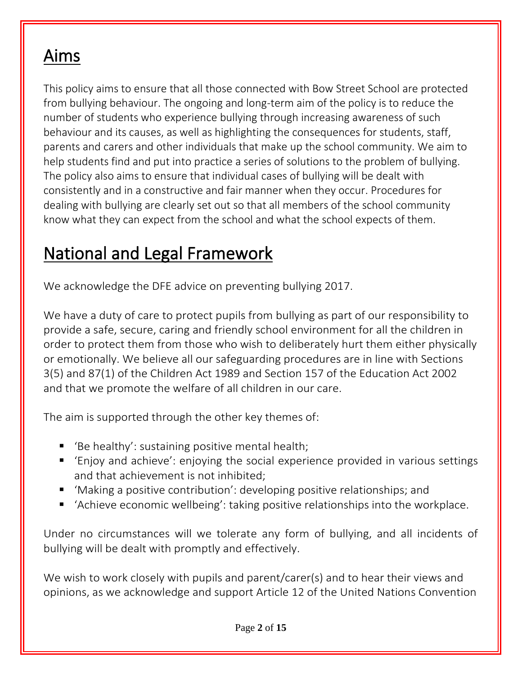#### Aims

This policy aims to ensure that all those connected with Bow Street School are protected from bullying behaviour. The ongoing and long-term aim of the policy is to reduce the number of students who experience bullying through increasing awareness of such behaviour and its causes, as well as highlighting the consequences for students, staff, parents and carers and other individuals that make up the school community. We aim to help students find and put into practice a series of solutions to the problem of bullying. The policy also aims to ensure that individual cases of bullying will be dealt with consistently and in a constructive and fair manner when they occur. Procedures for dealing with bullying are clearly set out so that all members of the school community know what they can expect from the school and what the school expects of them.

#### National and Legal Framework

We acknowledge the DFE advice on preventing bullying 2017.

We have a duty of care to protect pupils from bullying as part of our responsibility to provide a safe, secure, caring and friendly school environment for all the children in order to protect them from those who wish to deliberately hurt them either physically or emotionally. We believe all our safeguarding procedures are in line with Sections 3(5) and 87(1) of the Children Act 1989 and Section 157 of the Education Act 2002 and that we promote the welfare of all children in our care.

The aim is supported through the other key themes of:

- 'Be healthy': sustaining positive mental health;
- 'Enjoy and achieve': enjoying the social experience provided in various settings and that achievement is not inhibited;
- Making a positive contribution': developing positive relationships; and
- 'Achieve economic wellbeing': taking positive relationships into the workplace.

Under no circumstances will we tolerate any form of bullying, and all incidents of bullying will be dealt with promptly and effectively.

We wish to work closely with pupils and parent/carer(s) and to hear their views and opinions, as we acknowledge and support Article 12 of the United Nations Convention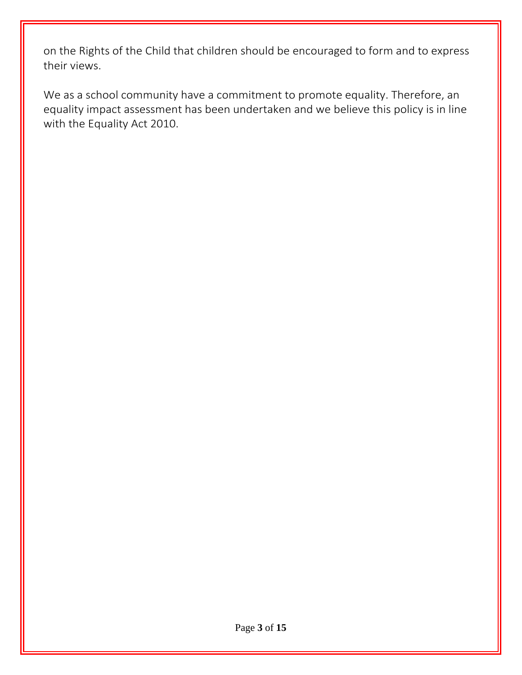on the Rights of the Child that children should be encouraged to form and to express their views.

We as a school community have a commitment to promote equality. Therefore, an equality impact assessment has been undertaken and we believe this policy is in line with the Equality Act 2010.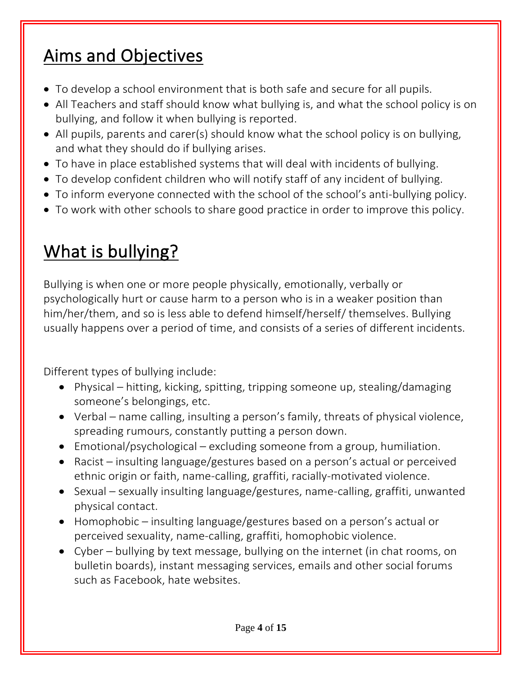## Aims and Objectives

- To develop a school environment that is both safe and secure for all pupils.
- All Teachers and staff should know what bullying is, and what the school policy is on bullying, and follow it when bullying is reported.
- All pupils, parents and carer(s) should know what the school policy is on bullying, and what they should do if bullying arises.
- To have in place established systems that will deal with incidents of bullying.
- To develop confident children who will notify staff of any incident of bullying.
- To inform everyone connected with the school of the school's anti-bullying policy.
- To work with other schools to share good practice in order to improve this policy.

## What is bullying?

Bullying is when one or more people physically, emotionally, verbally or psychologically hurt or cause harm to a person who is in a weaker position than him/her/them, and so is less able to defend himself/herself/ themselves. Bullying usually happens over a period of time, and consists of a series of different incidents.

Different types of bullying include:

- Physical hitting, kicking, spitting, tripping someone up, stealing/damaging someone's belongings, etc.
- Verbal name calling, insulting a person's family, threats of physical violence, spreading rumours, constantly putting a person down.
- Emotional/psychological excluding someone from a group, humiliation.
- Racist insulting language/gestures based on a person's actual or perceived ethnic origin or faith, name-calling, graffiti, racially-motivated violence.
- Sexual sexually insulting language/gestures, name-calling, graffiti, unwanted physical contact.
- Homophobic insulting language/gestures based on a person's actual or perceived sexuality, name-calling, graffiti, homophobic violence.
- Cyber bullying by text message, bullying on the internet (in chat rooms, on bulletin boards), instant messaging services, emails and other social forums such as Facebook, hate websites.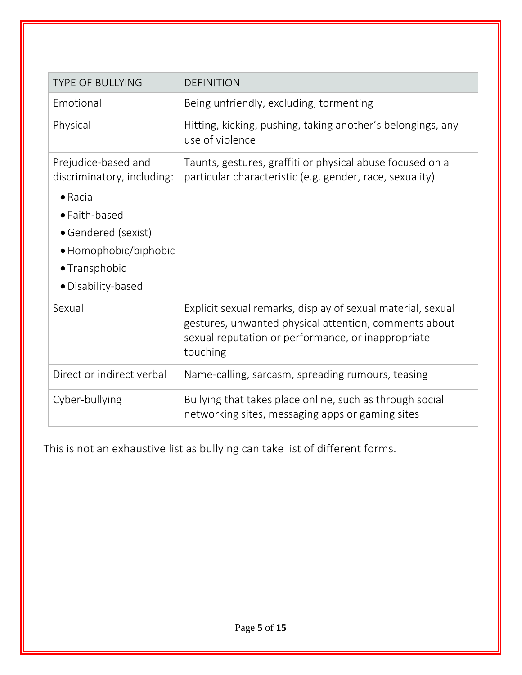| <b>TYPE OF BULLYING</b>                                                                                                                                                       | <b>DEFINITION</b>                                                                                                                                                                      |
|-------------------------------------------------------------------------------------------------------------------------------------------------------------------------------|----------------------------------------------------------------------------------------------------------------------------------------------------------------------------------------|
| Emotional                                                                                                                                                                     | Being unfriendly, excluding, tormenting                                                                                                                                                |
| Physical                                                                                                                                                                      | Hitting, kicking, pushing, taking another's belongings, any<br>use of violence                                                                                                         |
| Prejudice-based and<br>discriminatory, including:<br>$\bullet$ Racial<br>• Faith-based<br>• Gendered (sexist)<br>• Homophobic/biphobic<br>• Transphobic<br>• Disability-based | Taunts, gestures, graffiti or physical abuse focused on a<br>particular characteristic (e.g. gender, race, sexuality)                                                                  |
| Sexual                                                                                                                                                                        | Explicit sexual remarks, display of sexual material, sexual<br>gestures, unwanted physical attention, comments about<br>sexual reputation or performance, or inappropriate<br>touching |
| Direct or indirect verbal                                                                                                                                                     | Name-calling, sarcasm, spreading rumours, teasing                                                                                                                                      |
| Cyber-bullying                                                                                                                                                                | Bullying that takes place online, such as through social<br>networking sites, messaging apps or gaming sites                                                                           |

This is not an exhaustive list as bullying can take list of different forms.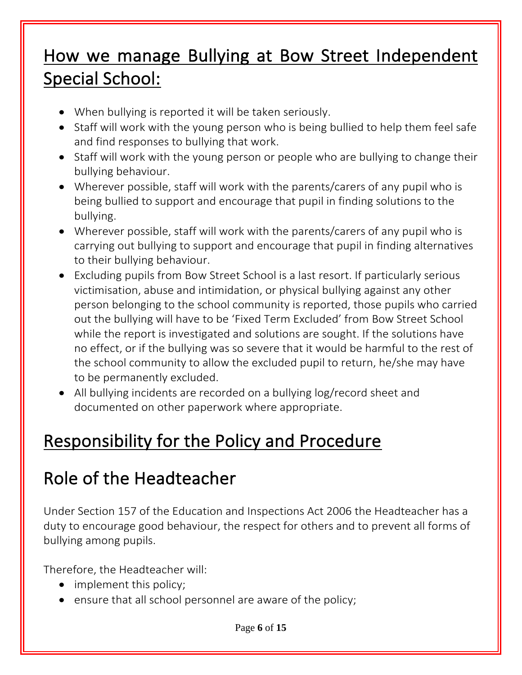#### How we manage Bullying at Bow Street Independent Special School:

- When bullying is reported it will be taken seriously.
- Staff will work with the young person who is being bullied to help them feel safe and find responses to bullying that work.
- Staff will work with the young person or people who are bullying to change their bullying behaviour.
- Wherever possible, staff will work with the parents/carers of any pupil who is being bullied to support and encourage that pupil in finding solutions to the bullying.
- Wherever possible, staff will work with the parents/carers of any pupil who is carrying out bullying to support and encourage that pupil in finding alternatives to their bullying behaviour.
- Excluding pupils from Bow Street School is a last resort. If particularly serious victimisation, abuse and intimidation, or physical bullying against any other person belonging to the school community is reported, those pupils who carried out the bullying will have to be 'Fixed Term Excluded' from Bow Street School while the report is investigated and solutions are sought. If the solutions have no effect, or if the bullying was so severe that it would be harmful to the rest of the school community to allow the excluded pupil to return, he/she may have to be permanently excluded.
- All bullying incidents are recorded on a bullying log/record sheet and documented on other paperwork where appropriate.

## Responsibility for the Policy and Procedure

## Role of the Headteacher

Under Section 157 of the Education and Inspections Act 2006 the Headteacher has a duty to encourage good behaviour, the respect for others and to prevent all forms of bullying among pupils.

Therefore, the Headteacher will:

- implement this policy;
- ensure that all school personnel are aware of the policy;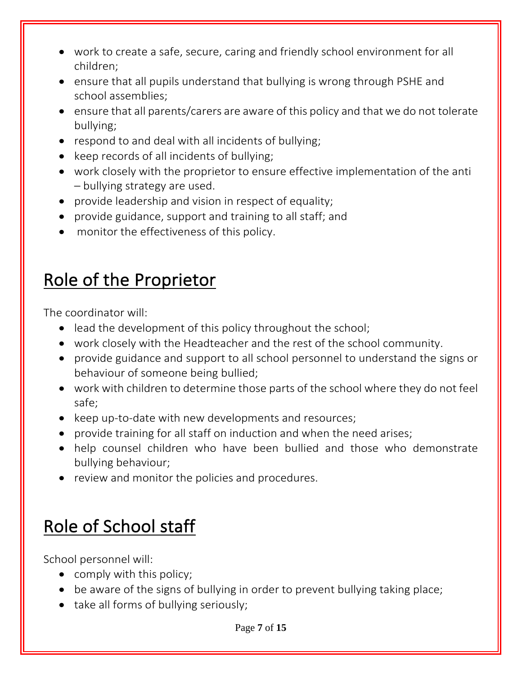- work to create a safe, secure, caring and friendly school environment for all children;
- ensure that all pupils understand that bullying is wrong through PSHE and school assemblies;
- ensure that all parents/carers are aware of this policy and that we do not tolerate bullying;
- respond to and deal with all incidents of bullying;
- keep records of all incidents of bullying;
- work closely with the proprietor to ensure effective implementation of the anti – bullying strategy are used.
- provide leadership and vision in respect of equality;
- provide guidance, support and training to all staff; and
- monitor the effectiveness of this policy.

## Role of the Proprietor

The coordinator will:

- lead the development of this policy throughout the school;
- work closely with the Headteacher and the rest of the school community.
- provide guidance and support to all school personnel to understand the signs or behaviour of someone being bullied;
- work with children to determine those parts of the school where they do not feel safe;
- keep up-to-date with new developments and resources;
- provide training for all staff on induction and when the need arises;
- help counsel children who have been bullied and those who demonstrate bullying behaviour;
- review and monitor the policies and procedures.

## Role of School staff

School personnel will:

- comply with this policy;
- be aware of the signs of bullying in order to prevent bullying taking place;
- take all forms of bullying seriously;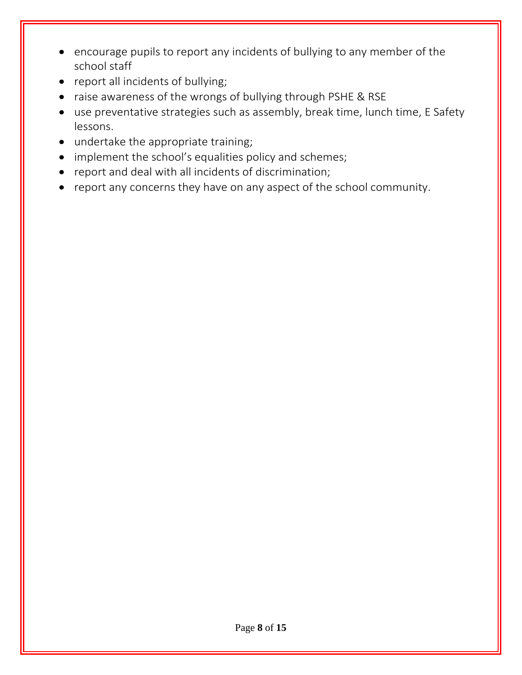- encourage pupils to report any incidents of bullying to any member of the school staff
- report all incidents of bullying;
- raise awareness of the wrongs of bullying through PSHE & RSE
- use preventative strategies such as assembly, break time, lunch time, E Safety lessons.
- undertake the appropriate training;
- implement the school's equalities policy and schemes;
- report and deal with all incidents of discrimination;
- report any concerns they have on any aspect of the school community.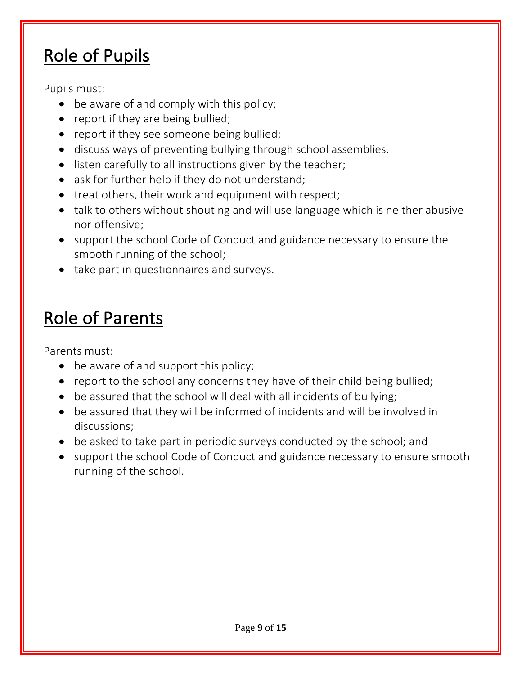## Role of Pupils

Pupils must:

- be aware of and comply with this policy;
- report if they are being bullied;
- report if they see someone being bullied;
- discuss ways of preventing bullying through school assemblies.
- listen carefully to all instructions given by the teacher;
- ask for further help if they do not understand;
- treat others, their work and equipment with respect;
- talk to others without shouting and will use language which is neither abusive nor offensive;
- support the school Code of Conduct and guidance necessary to ensure the smooth running of the school;
- take part in questionnaires and surveys.

### Role of Parents

Parents must:

- be aware of and support this policy;
- report to the school any concerns they have of their child being bullied;
- be assured that the school will deal with all incidents of bullying;
- be assured that they will be informed of incidents and will be involved in discussions;
- be asked to take part in periodic surveys conducted by the school; and
- support the school Code of Conduct and guidance necessary to ensure smooth running of the school.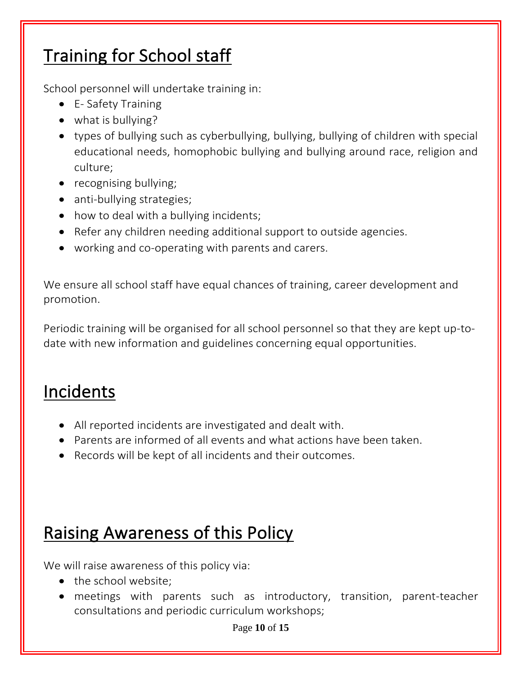#### Training for School staff

School personnel will undertake training in:

- E- Safety Training
- what is bullying?
- types of bullying such as cyberbullying, bullying, bullying of children with special educational needs, homophobic bullying and bullying around race, religion and culture;
- recognising bullying;
- anti-bullying strategies;
- how to deal with a bullying incidents;
- Refer any children needing additional support to outside agencies.
- working and co-operating with parents and carers.

We ensure all school staff have equal chances of training, career development and promotion.

Periodic training will be organised for all school personnel so that they are kept up-todate with new information and guidelines concerning equal opportunities.

#### Incidents

- All reported incidents are investigated and dealt with.
- Parents are informed of all events and what actions have been taken.
- Records will be kept of all incidents and their outcomes.

## Raising Awareness of this Policy

We will raise awareness of this policy via:

- the school website;
- meetings with parents such as introductory, transition, parent-teacher consultations and periodic curriculum workshops;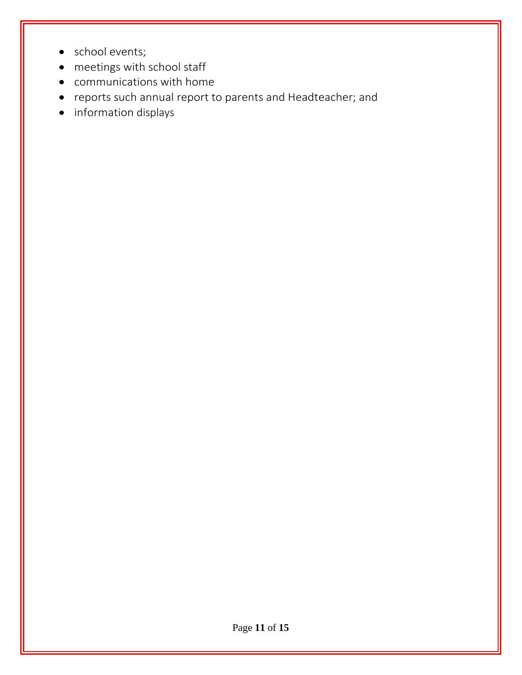- school events;
- meetings with school staff
- communications with home
- reports such annual report to parents and Headteacher; and
- information displays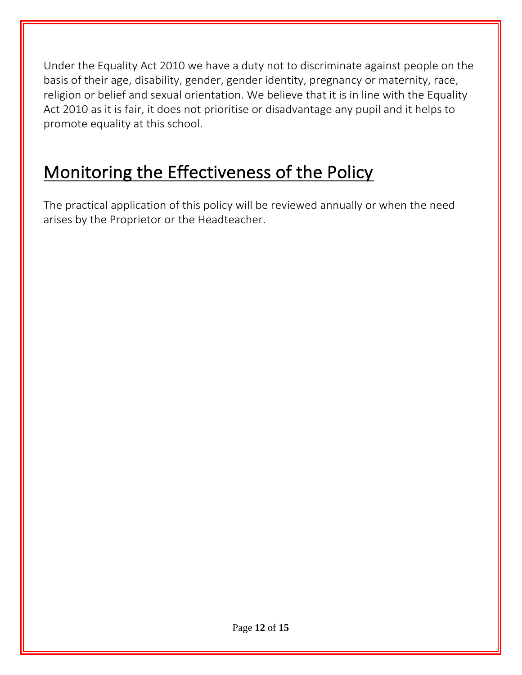Under the Equality Act 2010 we have a duty not to discriminate against people on the basis of their age, disability, gender, gender identity, pregnancy or maternity, race, religion or belief and sexual orientation. We believe that it is in line with the Equality Act 2010 as it is fair, it does not prioritise or disadvantage any pupil and it helps to promote equality at this school.

#### Monitoring the Effectiveness of the Policy

The practical application of this policy will be reviewed annually or when the need arises by the Proprietor or the Headteacher.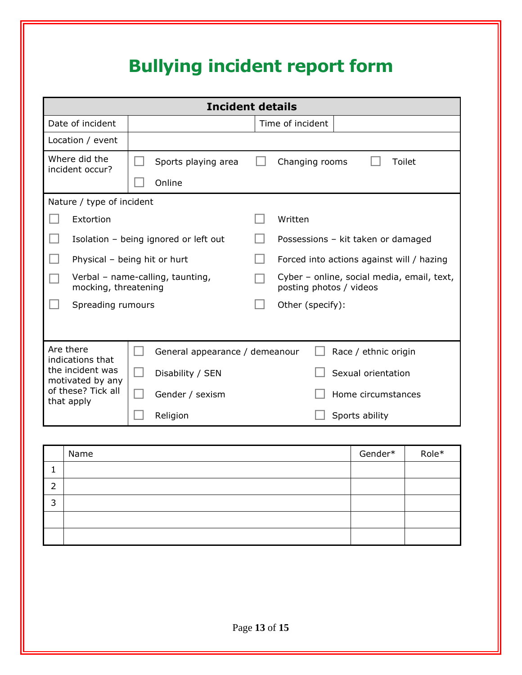## **Bullying incident report form**

| <b>Incident details</b>                                                  |                                |                                                                       |  |  |
|--------------------------------------------------------------------------|--------------------------------|-----------------------------------------------------------------------|--|--|
| Date of incident                                                         |                                | Time of incident                                                      |  |  |
| Location / event                                                         |                                |                                                                       |  |  |
| Where did the<br>incident occur?                                         | Sports playing area<br>Online  | Changing rooms<br>Toilet                                              |  |  |
| Nature / type of incident                                                |                                |                                                                       |  |  |
| Extortion                                                                |                                | Written                                                               |  |  |
| Isolation - being ignored or left out                                    |                                | Possessions - kit taken or damaged                                    |  |  |
| Physical - being hit or hurt                                             |                                | Forced into actions against will / hazing                             |  |  |
| Verbal - name-calling, taunting,<br>mocking, threatening                 |                                | Cyber - online, social media, email, text,<br>posting photos / videos |  |  |
| Spreading rumours                                                        |                                | Other (specify):                                                      |  |  |
|                                                                          |                                |                                                                       |  |  |
| Are there<br>indications that                                            | General appearance / demeanour | Race / ethnic origin                                                  |  |  |
| the incident was<br>motivated by any<br>of these? Tick all<br>that apply | Disability / SEN               | Sexual orientation                                                    |  |  |
|                                                                          | Gender / sexism                | Home circumstances                                                    |  |  |
|                                                                          | Religion                       | Sports ability                                                        |  |  |

| Name | Gender* | Role* |
|------|---------|-------|
|      |         |       |
|      |         |       |
|      |         |       |
|      |         |       |
|      |         |       |